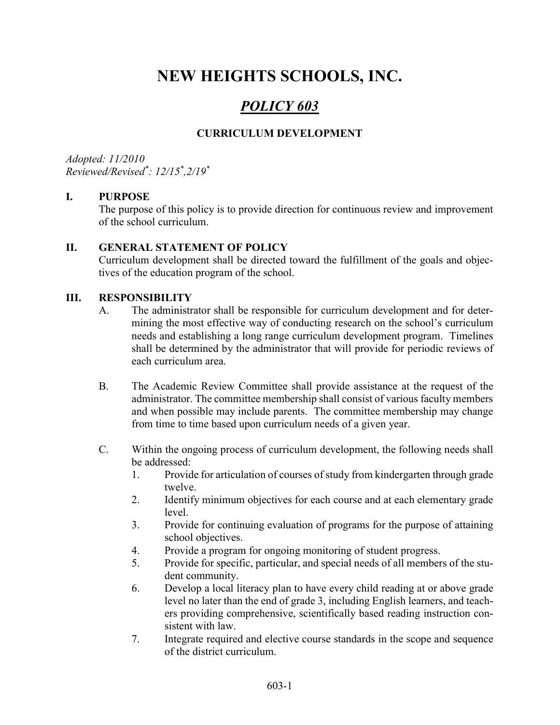# NEW HEIGHTS SCHOOLS, INC.

## POLICY 603

### CURRICULUM DEVELOPMENT

Adopted: 11/2010 Reviewed/Revised\* : 12/15\* ,2/19\*

#### I. PURPOSE

The purpose of this policy is to provide direction for continuous review and improvement of the school curriculum.

#### II. GENERAL STATEMENT OF POLICY

Curriculum development shall be directed toward the fulfillment of the goals and objectives of the education program of the school.

#### III. RESPONSIBILITY

- A. The administrator shall be responsible for curriculum development and for determining the most effective way of conducting research on the school's curriculum needs and establishing a long range curriculum development program. Timelines shall be determined by the administrator that will provide for periodic reviews of each curriculum area.
- B. The Academic Review Committee shall provide assistance at the request of the administrator. The committee membership shall consist of various faculty members and when possible may include parents. The committee membership may change from time to time based upon curriculum needs of a given year.
- C. Within the ongoing process of curriculum development, the following needs shall be addressed:
	- 1. Provide for articulation of courses of study from kindergarten through grade twelve.
	- 2. Identify minimum objectives for each course and at each elementary grade level.
	- 3. Provide for continuing evaluation of programs for the purpose of attaining school objectives.
	- 4. Provide a program for ongoing monitoring of student progress.
	- 5. Provide for specific, particular, and special needs of all members of the student community.
	- 6. Develop a local literacy plan to have every child reading at or above grade level no later than the end of grade 3, including English learners, and teachers providing comprehensive, scientifically based reading instruction consistent with law.
	- 7. Integrate required and elective course standards in the scope and sequence of the district curriculum.